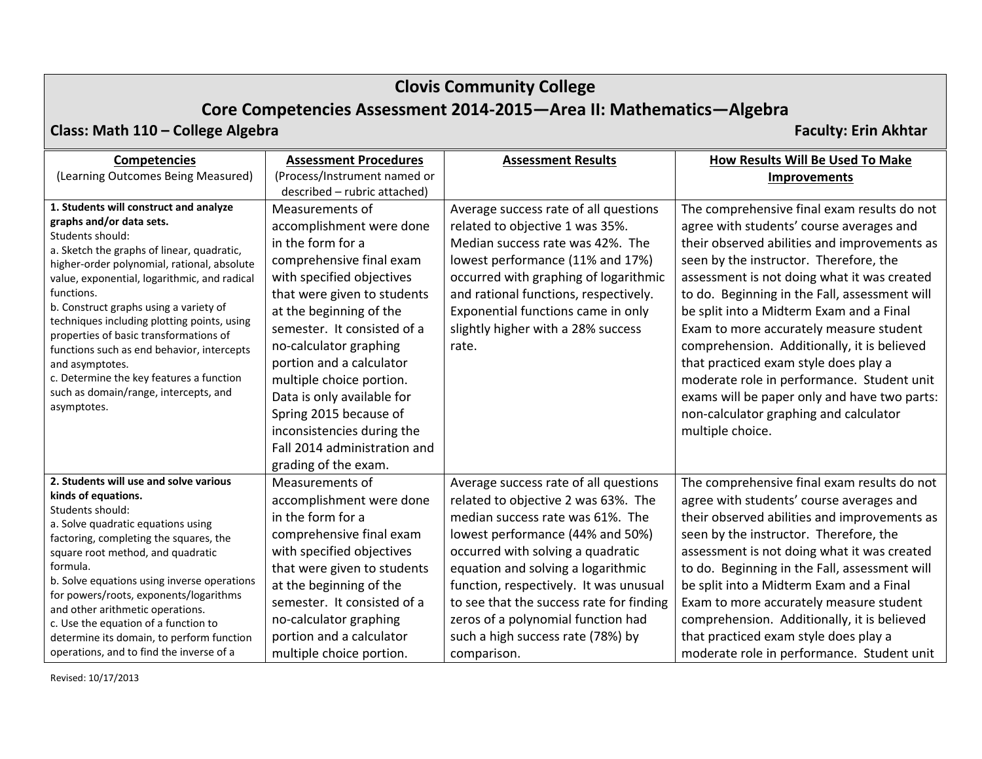# **Clovis Community College**

# **Core Competencies Assessment 2014‐2015—Area II: Mathematics—Algebra**

### **Class: Math 110 –**

**College Algebra Faculty: Erin Akhtar**

| <b>Competencies</b>                                                                                                                                                                                                                                                                                                                                                                                                                              | <b>Assessment Procedures</b>                                                       | <b>Assessment Results</b>                                                         | How Results Will Be Used To Make                                                                                                   |
|--------------------------------------------------------------------------------------------------------------------------------------------------------------------------------------------------------------------------------------------------------------------------------------------------------------------------------------------------------------------------------------------------------------------------------------------------|------------------------------------------------------------------------------------|-----------------------------------------------------------------------------------|------------------------------------------------------------------------------------------------------------------------------------|
| (Learning Outcomes Being Measured)                                                                                                                                                                                                                                                                                                                                                                                                               | (Process/Instrument named or                                                       |                                                                                   | <b>Improvements</b>                                                                                                                |
|                                                                                                                                                                                                                                                                                                                                                                                                                                                  | described - rubric attached)                                                       |                                                                                   |                                                                                                                                    |
| 1. Students will construct and analyze<br>graphs and/or data sets.<br>Students should:                                                                                                                                                                                                                                                                                                                                                           | Measurements of<br>accomplishment were done                                        | Average success rate of all questions<br>related to objective 1 was 35%.          | The comprehensive final exam results do not<br>agree with students' course averages and                                            |
| a. Sketch the graphs of linear, quadratic,<br>higher-order polynomial, rational, absolute<br>value, exponential, logarithmic, and radical<br>functions.<br>b. Construct graphs using a variety of<br>techniques including plotting points, using<br>properties of basic transformations of<br>functions such as end behavior, intercepts<br>and asymptotes.<br>c. Determine the key features a function<br>such as domain/range, intercepts, and | in the form for a<br>comprehensive final exam                                      | Median success rate was 42%. The<br>lowest performance (11% and 17%)              | their observed abilities and improvements as<br>seen by the instructor. Therefore, the                                             |
|                                                                                                                                                                                                                                                                                                                                                                                                                                                  | with specified objectives<br>that were given to students                           | occurred with graphing of logarithmic<br>and rational functions, respectively.    | assessment is not doing what it was created<br>to do. Beginning in the Fall, assessment will                                       |
|                                                                                                                                                                                                                                                                                                                                                                                                                                                  | at the beginning of the<br>semester. It consisted of a<br>no-calculator graphing   | Exponential functions came in only<br>slightly higher with a 28% success<br>rate. | be split into a Midterm Exam and a Final<br>Exam to more accurately measure student<br>comprehension. Additionally, it is believed |
|                                                                                                                                                                                                                                                                                                                                                                                                                                                  | portion and a calculator<br>multiple choice portion.                               |                                                                                   | that practiced exam style does play a<br>moderate role in performance. Student unit                                                |
| asymptotes.                                                                                                                                                                                                                                                                                                                                                                                                                                      | Data is only available for<br>Spring 2015 because of<br>inconsistencies during the |                                                                                   | exams will be paper only and have two parts:<br>non-calculator graphing and calculator<br>multiple choice.                         |
|                                                                                                                                                                                                                                                                                                                                                                                                                                                  | Fall 2014 administration and<br>grading of the exam.                               |                                                                                   |                                                                                                                                    |
| 2. Students will use and solve various                                                                                                                                                                                                                                                                                                                                                                                                           | Measurements of                                                                    | Average success rate of all questions                                             | The comprehensive final exam results do not                                                                                        |
| kinds of equations.                                                                                                                                                                                                                                                                                                                                                                                                                              | accomplishment were done                                                           | related to objective 2 was 63%. The                                               | agree with students' course averages and                                                                                           |
| Students should:<br>a. Solve quadratic equations using<br>factoring, completing the squares, the<br>square root method, and quadratic<br>formula.                                                                                                                                                                                                                                                                                                | in the form for a                                                                  | median success rate was 61%. The                                                  | their observed abilities and improvements as                                                                                       |
|                                                                                                                                                                                                                                                                                                                                                                                                                                                  | comprehensive final exam                                                           | lowest performance (44% and 50%)                                                  | seen by the instructor. Therefore, the                                                                                             |
|                                                                                                                                                                                                                                                                                                                                                                                                                                                  | with specified objectives                                                          | occurred with solving a quadratic                                                 | assessment is not doing what it was created                                                                                        |
|                                                                                                                                                                                                                                                                                                                                                                                                                                                  | that were given to students                                                        | equation and solving a logarithmic                                                | to do. Beginning in the Fall, assessment will                                                                                      |
| b. Solve equations using inverse operations                                                                                                                                                                                                                                                                                                                                                                                                      | at the beginning of the                                                            | function, respectively. It was unusual                                            | be split into a Midterm Exam and a Final                                                                                           |
| for powers/roots, exponents/logarithms                                                                                                                                                                                                                                                                                                                                                                                                           | semester. It consisted of a                                                        | to see that the success rate for finding                                          | Exam to more accurately measure student                                                                                            |
| and other arithmetic operations.<br>c. Use the equation of a function to                                                                                                                                                                                                                                                                                                                                                                         | no-calculator graphing                                                             | zeros of a polynomial function had                                                | comprehension. Additionally, it is believed                                                                                        |
| determine its domain, to perform function                                                                                                                                                                                                                                                                                                                                                                                                        | portion and a calculator                                                           | such a high success rate (78%) by                                                 | that practiced exam style does play a                                                                                              |
| operations, and to find the inverse of a                                                                                                                                                                                                                                                                                                                                                                                                         | multiple choice portion.                                                           | comparison.                                                                       | moderate role in performance. Student unit                                                                                         |

Revised: 10/17/2013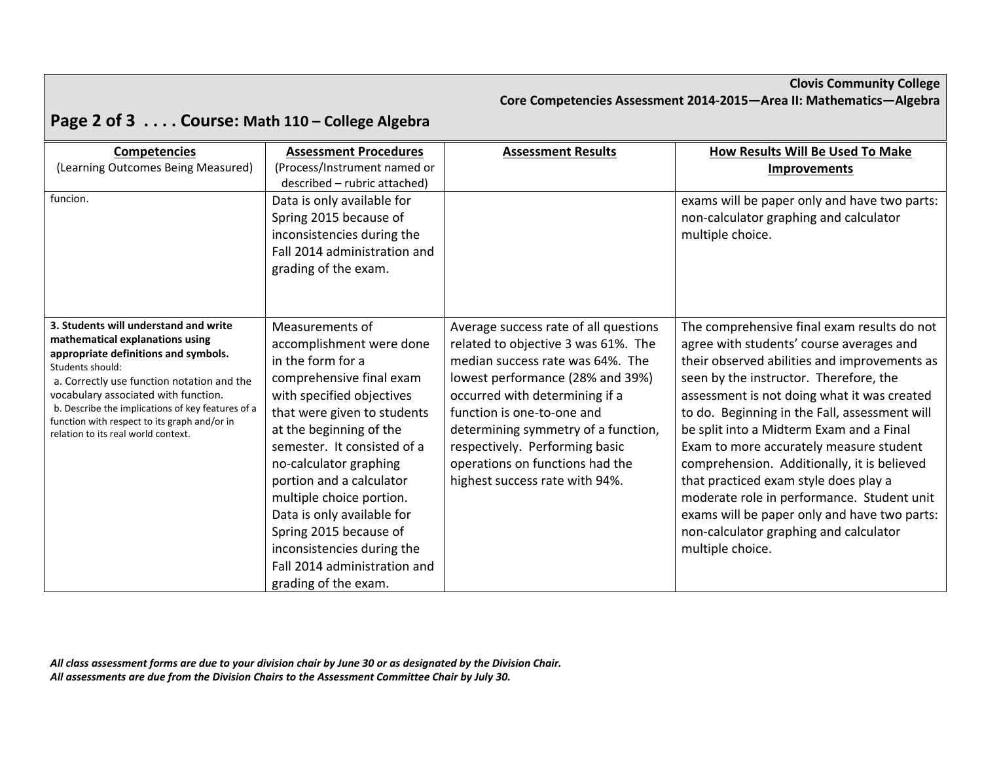#### **Clovis Community College Core Competencies Assessment 2014‐2015—Area II: Mathematics—Algebra**

# **Page 2 of 3 . . . . Course: Math <sup>110</sup> – College Algebra**

| <b>Competencies</b>                                                                                                                                                                                                                                                                                                                                                    | <b>Assessment Procedures</b>                                                                                                                                                                                                                                                                                                                                                                                                                       | <b>Assessment Results</b>                                                                                                                                                                                                                                                                                                                                          | How Results Will Be Used To Make                                                                                                                                                                                                                                                                                                                                                                                                                                                                                                                                                                                             |
|------------------------------------------------------------------------------------------------------------------------------------------------------------------------------------------------------------------------------------------------------------------------------------------------------------------------------------------------------------------------|----------------------------------------------------------------------------------------------------------------------------------------------------------------------------------------------------------------------------------------------------------------------------------------------------------------------------------------------------------------------------------------------------------------------------------------------------|--------------------------------------------------------------------------------------------------------------------------------------------------------------------------------------------------------------------------------------------------------------------------------------------------------------------------------------------------------------------|------------------------------------------------------------------------------------------------------------------------------------------------------------------------------------------------------------------------------------------------------------------------------------------------------------------------------------------------------------------------------------------------------------------------------------------------------------------------------------------------------------------------------------------------------------------------------------------------------------------------------|
| (Learning Outcomes Being Measured)                                                                                                                                                                                                                                                                                                                                     | (Process/Instrument named or<br>described - rubric attached)                                                                                                                                                                                                                                                                                                                                                                                       |                                                                                                                                                                                                                                                                                                                                                                    | <b>Improvements</b>                                                                                                                                                                                                                                                                                                                                                                                                                                                                                                                                                                                                          |
| funcion.                                                                                                                                                                                                                                                                                                                                                               | Data is only available for<br>Spring 2015 because of<br>inconsistencies during the<br>Fall 2014 administration and<br>grading of the exam.                                                                                                                                                                                                                                                                                                         |                                                                                                                                                                                                                                                                                                                                                                    | exams will be paper only and have two parts:<br>non-calculator graphing and calculator<br>multiple choice.                                                                                                                                                                                                                                                                                                                                                                                                                                                                                                                   |
| 3. Students will understand and write<br>mathematical explanations using<br>appropriate definitions and symbols.<br>Students should:<br>a. Correctly use function notation and the<br>vocabulary associated with function.<br>b. Describe the implications of key features of a<br>function with respect to its graph and/or in<br>relation to its real world context. | Measurements of<br>accomplishment were done<br>in the form for a<br>comprehensive final exam<br>with specified objectives<br>that were given to students<br>at the beginning of the<br>semester. It consisted of a<br>no-calculator graphing<br>portion and a calculator<br>multiple choice portion.<br>Data is only available for<br>Spring 2015 because of<br>inconsistencies during the<br>Fall 2014 administration and<br>grading of the exam. | Average success rate of all questions<br>related to objective 3 was 61%. The<br>median success rate was 64%. The<br>lowest performance (28% and 39%)<br>occurred with determining if a<br>function is one-to-one and<br>determining symmetry of a function,<br>respectively. Performing basic<br>operations on functions had the<br>highest success rate with 94%. | The comprehensive final exam results do not<br>agree with students' course averages and<br>their observed abilities and improvements as<br>seen by the instructor. Therefore, the<br>assessment is not doing what it was created<br>to do. Beginning in the Fall, assessment will<br>be split into a Midterm Exam and a Final<br>Exam to more accurately measure student<br>comprehension. Additionally, it is believed<br>that practiced exam style does play a<br>moderate role in performance. Student unit<br>exams will be paper only and have two parts:<br>non-calculator graphing and calculator<br>multiple choice. |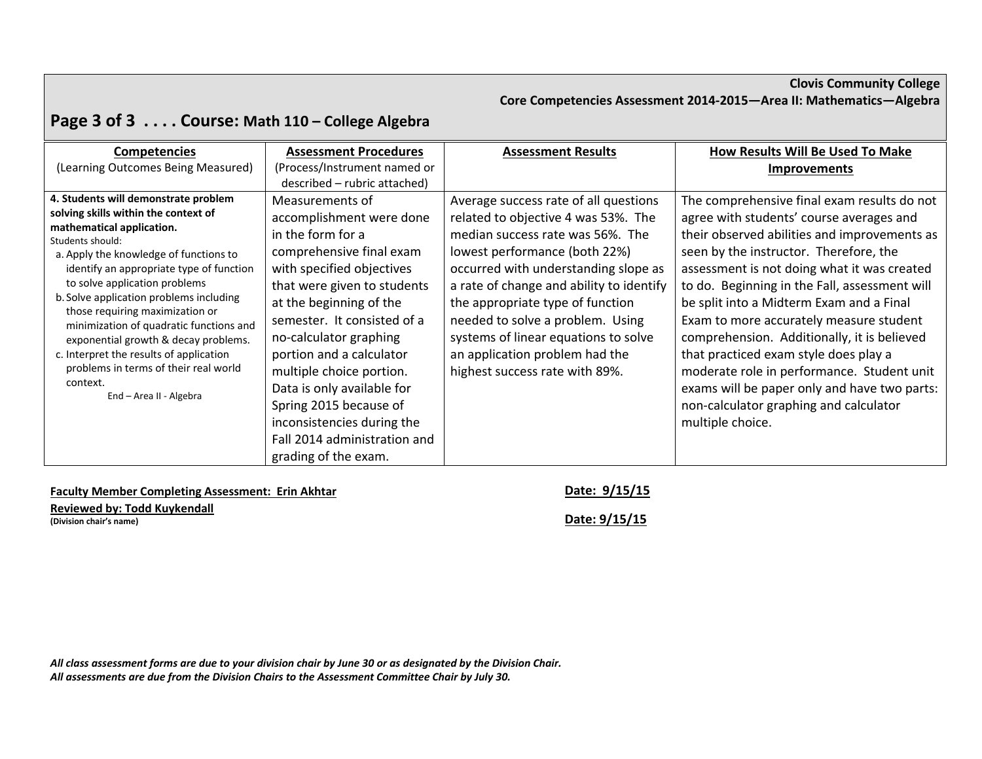#### **Clovis Community College Core Competencies Assessment 2014‐2015—Area II: Mathematics—Algebra**

# **Page 3 of 3 . . . . Course: Math <sup>110</sup> – College Algebra**

| <b>Competencies</b>                                                                                                                                                                                                                                                                                                                                                           | <b>Assessment Procedures</b>                                                                                                                                                                                                 | <b>Assessment Results</b>                                                                                                                                                                                                                                                                                     | How Results Will Be Used To Make                                                                                                                                                                                                                                                                                                                                         |
|-------------------------------------------------------------------------------------------------------------------------------------------------------------------------------------------------------------------------------------------------------------------------------------------------------------------------------------------------------------------------------|------------------------------------------------------------------------------------------------------------------------------------------------------------------------------------------------------------------------------|---------------------------------------------------------------------------------------------------------------------------------------------------------------------------------------------------------------------------------------------------------------------------------------------------------------|--------------------------------------------------------------------------------------------------------------------------------------------------------------------------------------------------------------------------------------------------------------------------------------------------------------------------------------------------------------------------|
| (Learning Outcomes Being Measured)                                                                                                                                                                                                                                                                                                                                            | (Process/Instrument named or                                                                                                                                                                                                 |                                                                                                                                                                                                                                                                                                               | <b>Improvements</b>                                                                                                                                                                                                                                                                                                                                                      |
|                                                                                                                                                                                                                                                                                                                                                                               | described - rubric attached)                                                                                                                                                                                                 |                                                                                                                                                                                                                                                                                                               |                                                                                                                                                                                                                                                                                                                                                                          |
| 4. Students will demonstrate problem<br>solving skills within the context of<br>mathematical application.<br>Students should:<br>a. Apply the knowledge of functions to<br>identify an appropriate type of function<br>to solve application problems<br>b. Solve application problems including<br>those requiring maximization or<br>minimization of quadratic functions and | Measurements of<br>accomplishment were done<br>in the form for a<br>comprehensive final exam<br>with specified objectives<br>that were given to students<br>at the beginning of the<br>semester. It consisted of a           | Average success rate of all questions<br>related to objective 4 was 53%. The<br>median success rate was 56%. The<br>lowest performance (both 22%)<br>occurred with understanding slope as<br>a rate of change and ability to identify<br>the appropriate type of function<br>needed to solve a problem. Using | The comprehensive final exam results do not<br>agree with students' course averages and<br>their observed abilities and improvements as<br>seen by the instructor. Therefore, the<br>assessment is not doing what it was created<br>to do. Beginning in the Fall, assessment will<br>be split into a Midterm Exam and a Final<br>Exam to more accurately measure student |
| exponential growth & decay problems.<br>c. Interpret the results of application<br>problems in terms of their real world<br>context.<br>End - Area II - Algebra                                                                                                                                                                                                               | no-calculator graphing<br>portion and a calculator<br>multiple choice portion.<br>Data is only available for<br>Spring 2015 because of<br>inconsistencies during the<br>Fall 2014 administration and<br>grading of the exam. | systems of linear equations to solve<br>an application problem had the<br>highest success rate with 89%.                                                                                                                                                                                                      | comprehension. Additionally, it is believed<br>that practiced exam style does play a<br>moderate role in performance. Student unit<br>exams will be paper only and have two parts:<br>non-calculator graphing and calculator<br>multiple choice.                                                                                                                         |

**Faculty Member Completing Assessment: Erin Akhtar Date: 9/15/15**

**Reviewed by: Todd Kuykendall (Division chair's name) Date: 9/15/15**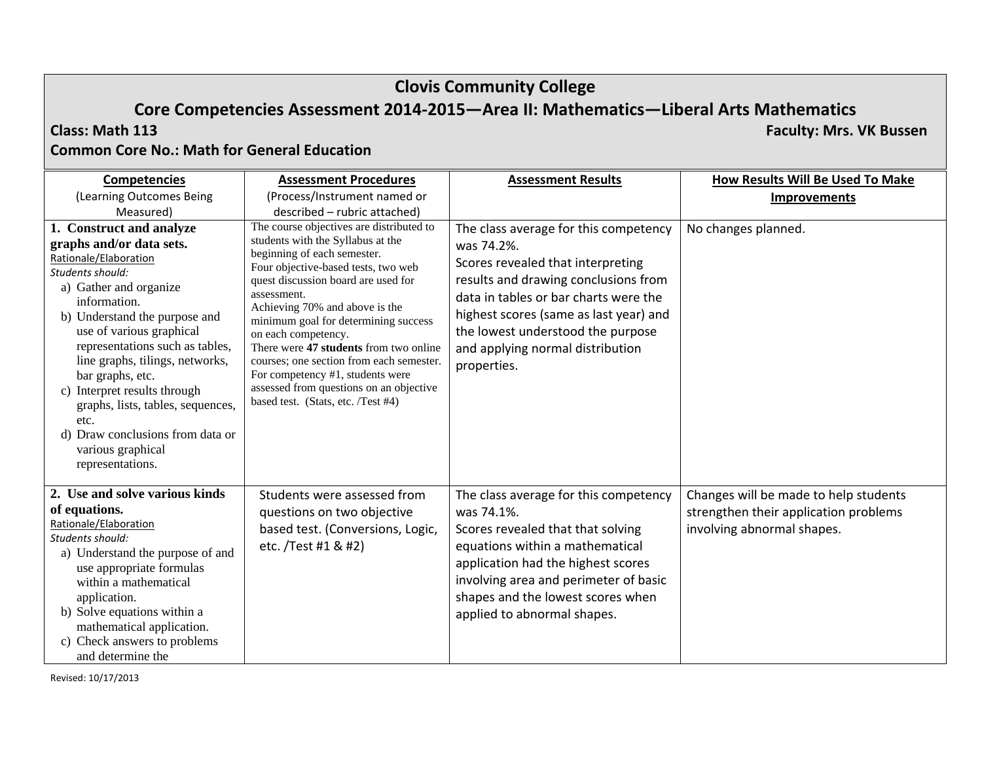# **Clovis Community College**

# **Core Competencies Assessment 2014‐2015—Area II: Mathematics—Liberal Arts Mathematics**

#### **Class: Math**

**113 Faculty: Mrs. VK Bussen**

#### **Common Core No.: Math for General Education**

| <b>Competencies</b>                                                                                                                                                                                                                                                                                                                                                                                                                                          | <b>Assessment Procedures</b>                                                                                                                                                                                                                                                                                                                                                                                                                                                                                          | <b>Assessment Results</b>                                                                                                                                                                                                                                                                                   | How Results Will Be Used To Make                                                                             |
|--------------------------------------------------------------------------------------------------------------------------------------------------------------------------------------------------------------------------------------------------------------------------------------------------------------------------------------------------------------------------------------------------------------------------------------------------------------|-----------------------------------------------------------------------------------------------------------------------------------------------------------------------------------------------------------------------------------------------------------------------------------------------------------------------------------------------------------------------------------------------------------------------------------------------------------------------------------------------------------------------|-------------------------------------------------------------------------------------------------------------------------------------------------------------------------------------------------------------------------------------------------------------------------------------------------------------|--------------------------------------------------------------------------------------------------------------|
| (Learning Outcomes Being                                                                                                                                                                                                                                                                                                                                                                                                                                     | (Process/Instrument named or                                                                                                                                                                                                                                                                                                                                                                                                                                                                                          |                                                                                                                                                                                                                                                                                                             | <b>Improvements</b>                                                                                          |
| Measured)                                                                                                                                                                                                                                                                                                                                                                                                                                                    | described - rubric attached)                                                                                                                                                                                                                                                                                                                                                                                                                                                                                          |                                                                                                                                                                                                                                                                                                             |                                                                                                              |
| 1. Construct and analyze<br>graphs and/or data sets.<br>Rationale/Elaboration<br>Students should:<br>a) Gather and organize<br>information.<br>b) Understand the purpose and<br>use of various graphical<br>representations such as tables,<br>line graphs, tilings, networks,<br>bar graphs, etc.<br>c) Interpret results through<br>graphs, lists, tables, sequences,<br>etc.<br>d) Draw conclusions from data or<br>various graphical<br>representations. | The course objectives are distributed to<br>students with the Syllabus at the<br>beginning of each semester.<br>Four objective-based tests, two web<br>quest discussion board are used for<br>assessment.<br>Achieving 70% and above is the<br>minimum goal for determining success<br>on each competency.<br>There were 47 students from two online<br>courses; one section from each semester.<br>For competency #1, students were<br>assessed from questions on an objective<br>based test. (Stats, etc. /Test #4) | The class average for this competency<br>was 74.2%.<br>Scores revealed that interpreting<br>results and drawing conclusions from<br>data in tables or bar charts were the<br>highest scores (same as last year) and<br>the lowest understood the purpose<br>and applying normal distribution<br>properties. | No changes planned.                                                                                          |
| 2. Use and solve various kinds<br>of equations.<br>Rationale/Elaboration<br>Students should:<br>a) Understand the purpose of and<br>use appropriate formulas<br>within a mathematical<br>application.<br>b) Solve equations within a<br>mathematical application.<br>c) Check answers to problems<br>and determine the                                                                                                                                       | Students were assessed from<br>questions on two objective<br>based test. (Conversions, Logic,<br>etc. /Test #1 & #2)                                                                                                                                                                                                                                                                                                                                                                                                  | The class average for this competency<br>was 74.1%.<br>Scores revealed that that solving<br>equations within a mathematical<br>application had the highest scores<br>involving area and perimeter of basic<br>shapes and the lowest scores when<br>applied to abnormal shapes.                              | Changes will be made to help students<br>strengthen their application problems<br>involving abnormal shapes. |

Revised: 10/17/2013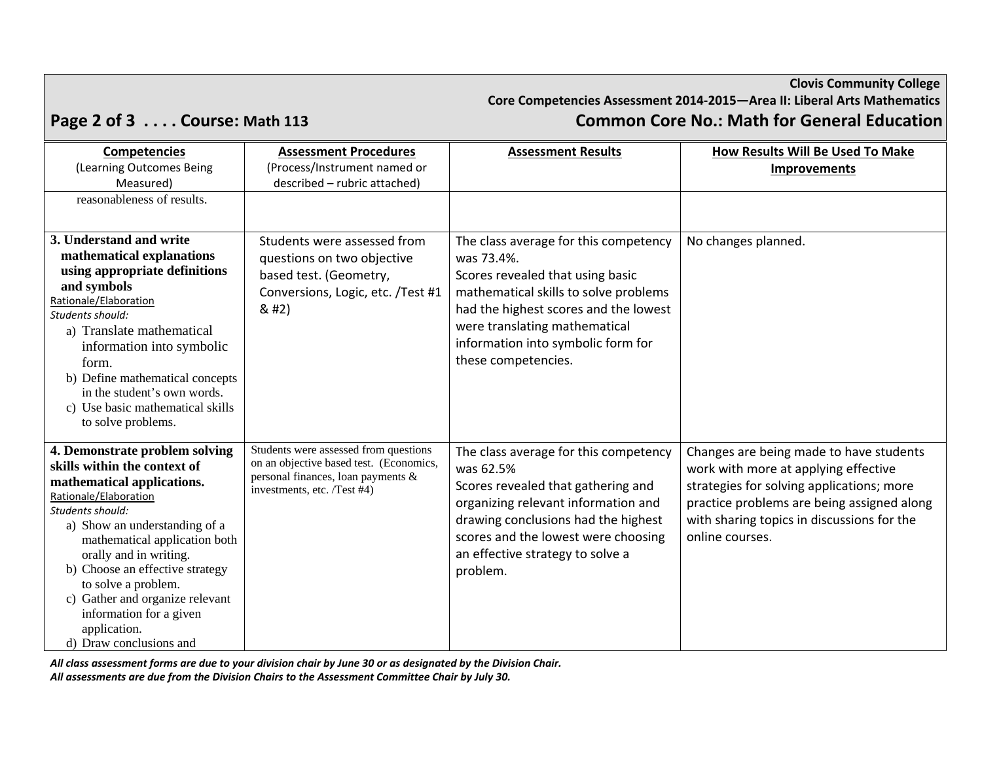# **Clovis Community College Core Competencies Assessment 2014‐2015—Area II: Liberal Arts Mathematics Page 2 of 3 . . . . Course: Math <sup>113</sup> Common Core No.: Math for General Education**

| <b>Competencies</b>                                            | <b>Assessment Procedures</b>                                      | <b>Assessment Results</b>             | <b>How Results Will Be Used To Make</b>    |
|----------------------------------------------------------------|-------------------------------------------------------------------|---------------------------------------|--------------------------------------------|
| (Learning Outcomes Being                                       | (Process/Instrument named or                                      |                                       | <b>Improvements</b>                        |
| Measured)                                                      | described - rubric attached)                                      |                                       |                                            |
| reasonableness of results.                                     |                                                                   |                                       |                                            |
|                                                                |                                                                   |                                       |                                            |
| 3. Understand and write                                        | Students were assessed from                                       | The class average for this competency | No changes planned.                        |
| mathematical explanations                                      | questions on two objective                                        | was 73.4%.                            |                                            |
| using appropriate definitions                                  | based test. (Geometry,                                            | Scores revealed that using basic      |                                            |
| and symbols<br>Rationale/Elaboration                           | Conversions, Logic, etc. /Test #1                                 | mathematical skills to solve problems |                                            |
| Students should:                                               | 8#2)                                                              | had the highest scores and the lowest |                                            |
| a) Translate mathematical                                      |                                                                   | were translating mathematical         |                                            |
| information into symbolic                                      |                                                                   | information into symbolic form for    |                                            |
| form.                                                          |                                                                   | these competencies.                   |                                            |
| b) Define mathematical concepts                                |                                                                   |                                       |                                            |
| in the student's own words.                                    |                                                                   |                                       |                                            |
| c) Use basic mathematical skills                               |                                                                   |                                       |                                            |
| to solve problems.                                             |                                                                   |                                       |                                            |
| 4. Demonstrate problem solving                                 | Students were assessed from questions                             | The class average for this competency | Changes are being made to have students    |
| skills within the context of                                   | on an objective based test. (Economics,                           | was 62.5%                             | work with more at applying effective       |
| mathematical applications.                                     | personal finances, loan payments &<br>investments, etc. /Test #4) | Scores revealed that gathering and    | strategies for solving applications; more  |
| Rationale/Elaboration                                          |                                                                   | organizing relevant information and   | practice problems are being assigned along |
| Students should:                                               |                                                                   | drawing conclusions had the highest   | with sharing topics in discussions for the |
| a) Show an understanding of a<br>mathematical application both |                                                                   | scores and the lowest were choosing   | online courses.                            |
| orally and in writing.                                         |                                                                   | an effective strategy to solve a      |                                            |
| b) Choose an effective strategy                                |                                                                   | problem.                              |                                            |
| to solve a problem.                                            |                                                                   |                                       |                                            |
| c) Gather and organize relevant                                |                                                                   |                                       |                                            |
| information for a given                                        |                                                                   |                                       |                                            |
| application.                                                   |                                                                   |                                       |                                            |
| d) Draw conclusions and                                        |                                                                   |                                       |                                            |

All class assessment forms are due to your division chair by June 30 or as designated by the Division Chair. *All assessments are due from the Division Chairs to the Assessment Committee Chair by July 30.*